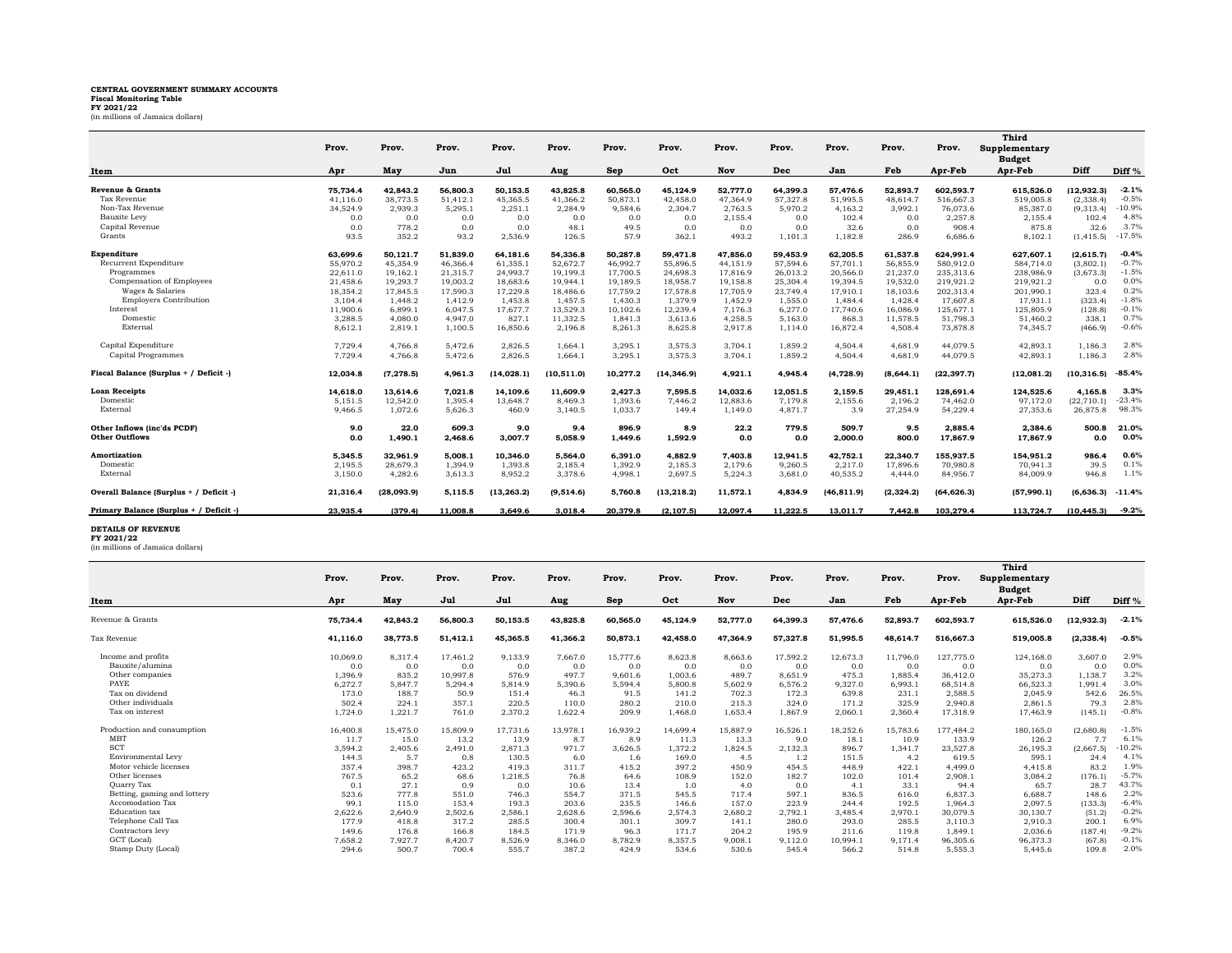## **CENTRAL GOVERNMENT SUMMARY ACCOUNTS Fiscal Monitoring Table FY 2021/22** (in millions of Jamaica dollars)

|                                         |          |            |          |             |             |          |             |          |          |             |            |             | Third                          |             |                   |
|-----------------------------------------|----------|------------|----------|-------------|-------------|----------|-------------|----------|----------|-------------|------------|-------------|--------------------------------|-------------|-------------------|
|                                         | Prov.    | Prov.      | Prov.    | Prov.       | Prov.       | Prov.    | Prov.       | Prov.    | Prov.    | Prov.       | Prov.      | Prov.       | Supplementary<br><b>Budget</b> |             |                   |
| Item                                    | Apr      | May        | Jun      | Jul         | Aug         | Sep      | Oct         | Nov      | Dec      | Jan         | Feb        | Apr-Feb     | Apr-Feb                        | Diff        | Diff <sup>%</sup> |
| Revenue & Grants                        | 75,734.4 | 42,843.2   | 56,800.3 | 50,153.5    | 43,825.8    | 60,565.0 | 45,124.9    | 52,777.0 | 64.399.3 | 57,476.6    | 52,893.7   | 602,593.7   | 615,526.0                      | (12, 932.3) | $-2.1%$           |
| Tax Revenue                             | 41.116.0 | 38,773.5   | 51,412.1 | 45,365.5    | 41,366.2    | 50,873.1 | 42,458.0    | 47.364.9 | 57,327.8 | 51,995.5    | 48,614.7   | 516,667.3   | 519,005.8                      | (2,338.4)   | $-0.5%$           |
| Non-Tax Revenue                         | 34,524.9 | 2,939.3    | 5,295.1  | 2,251.1     | 2,284.9     | 9,584.6  | 2,304.7     | 2,763.5  | 5,970.2  | 4,163.2     | 3,992.1    | 76,073.6    | 85,387.0                       | (9,313.4)   | $-10.9%$          |
| Bauxite Levy                            | 0.0      | 0.0        | 0.0      | 0.0         | 0.0         | 0.0      | 0.0         | 2,155.4  | 0.0      | 102.4       | 0.0        | 2,257.8     | 2,155.4                        | 102.4       | 4.8%              |
| Capital Revenue                         | 0.0      | 778.2      | 0.0      | 0.0         | 48.1        | 49.5     | 0.0         | 0.0      | 0.0      | 32.6        | 0.0        | 908.4       | 875.8                          | 32.6        | 3.7%              |
| Grants                                  | 93.5     | 352.2      | 93.2     | 2,536.9     | 126.5       | 57.9     | 362.1       | 493.2    | 1,101.3  | 1,182.8     | 286.9      | 6,686.6     | 8,102.1                        | (1, 415.5)  | $-17.5%$          |
| <b>Expenditure</b>                      | 63.699.6 | 50.121.7   | 51.839.0 | 64.181.6    | 54,336.8    | 50.287.8 | 59.471.8    | 47.856.0 | 59.453.9 | 62.205.5    | 61.537.8   | 624.991.4   | 627.607.1                      | (2.615.7)   | $-0.4%$           |
| Recurrent Expenditure                   | 55,970.2 | 45,354.9   | 46,366.4 | 61,355.1    | 52,672.7    | 46.992.7 | 55.896.5    | 44.151.9 | 57.594.6 | 57,701.1    | 56.855.9   | 580,912.0   | 584.714.0                      | (3,802.1)   | $-0.7%$           |
| Programmes                              | 22.611.0 | 19.162.1   | 21,315.7 | 24.993.7    | 19.199.3    | 17,700.5 | 24.698.3    | 17,816.9 | 26.013.2 | 20,566.0    | 21,237.0   | 235,313.6   | 238,986.9                      | (3,673.3)   | $-1.5%$           |
| Compensation of Employees               | 21.458.6 | 19,293.7   | 19,003.2 | 18,683.6    | 19,944.1    | 19,189.5 | 18,958.7    | 19,158.8 | 25,304.4 | 19.394.5    | 19,532.0   | 219,921.2   | 219,921.2                      | 0.0         | 0.0%              |
| Wages & Salaries                        | 18,354.2 | 17,845.5   | 17,590.3 | 17,229.8    | 18,486.6    | 17,759.2 | 17,578.8    | 17,705.9 | 23.749.4 | 17.910.1    | 18,103.6   | 202,313.4   | 201,990.1                      | 323.4       | 0.2%              |
| <b>Employers Contribution</b>           | 3.104.4  | 1.448.2    | 1.412.9  | 1,453.8     | 1,457.5     | 1,430.3  | 1.379.9     | 1,452.9  | 1.555.0  | 1.484.4     | 1.428.4    | 17,607.8    | 17,931.1                       | (323.4)     | $-1.8%$           |
| Interest                                | 11,900.6 | 6,899.1    | 6,047.5  | 17,677.7    | 13,529.3    | 10,102.6 | 12,239.4    | 7,176.3  | 6,277.0  | 17,740.6    | 16,086.9   | 125,677.1   | 125,805.9                      | (128.8)     | $-0.1%$           |
| Domestic                                | 3,288.5  | 4,080.0    | 4,947.0  | 827.1       | 11,332.5    | 1,841.3  | 3,613.6     | 4,258.5  | 5,163.0  | 868.3       | 11,578.5   | 51,798.3    | 51,460.2                       | 338.1       | 0.7%              |
| External                                | 8,612.1  | 2,819.1    | 1,100.5  | 16,850.6    | 2,196.8     | 8,261.3  | 8,625.8     | 2,917.8  | 1.114.0  | 16,872.4    | 4,508.4    | 73,878.8    | 74,345.7                       | (466.9)     | $-0.6%$           |
| Capital Expenditure                     | 7.729.4  | 4.766.8    | 5,472.6  | 2,826.5     | 1,664.1     | 3,295.1  | 3,575.3     | 3,704.1  | 1,859.2  | 4.504.4     | 4,681.9    | 44.079.5    | 42,893.1                       | 1,186.3     | 2.8%              |
| Capital Programmes                      | 7,729.4  | 4,766.8    | 5,472.6  | 2,826.5     | 1,664.1     | 3,295.1  | 3,575.3     | 3,704.1  | 1,859.2  | 4,504.4     | 4,681.9    | 44,079.5    | 42,893.1                       | 1,186.3     | 2.8%              |
| Fiscal Balance (Surplus + / Deficit -)  | 12,034.8 | (7, 278.5) | 4,961.3  | (14, 028.1) | (10, 511.0) | 10,277.2 | (14, 346.9) | 4,921.1  | 4,945.4  | (4, 728.9)  | (8,644.1)  | (22, 397.7) | (12,081.2)                     | (10, 316.5) | $-85.4%$          |
| <b>Loan Receipts</b>                    | 14.618.0 | 13.614.6   | 7,021.8  | 14,109.6    | 11,609.9    | 2,427.3  | 7,595.5     | 14.032.6 | 12,051.5 | 2,159.5     | 29.451.1   | 128,691.4   | 124,525.6                      | 4.165.8     | 3.3%              |
| Domestic                                | 5.151.5  | 12,542.0   | 1.395.4  | 13,648.7    | 8.469.3     | 1,393.6  | 7.446.2     | 12,883.6 | 7,179.8  | 2,155.6     | 2.196.2    | 74.462.0    | 97.172.0                       | (22.710.1)  | $-23.4%$          |
| External                                | 9.466.5  | 1.072.6    | 5,626.3  | 460.9       | 3.140.5     | 1,033.7  | 149.4       | 1.149.0  | 4.871.7  | 3.9         | 27,254.9   | 54,229.4    | 27,353.6                       | 26.875.8    | 98.3%             |
| Other Inflows (inc'ds PCDF)             | 9.0      | 22.0       | 609.3    | 9.0         | 9.4         | 896.9    | 8.9         | 22.2     | 779.5    | 509.7       | 9.5        | 2.885.4     | 2,384.6                        | 500.8       | 21.0%             |
| <b>Other Outflows</b>                   | 0.0      | 1.490.1    | 2.468.6  | 3.007.7     | 5.058.9     | 1.449.6  | 1.592.9     | 0.0      | 0.0      | 2.000.0     | 800.0      | 17,867.9    | 17.867.9                       | 0.0         | 0.0%              |
| Amortization                            | 5.345.5  | 32,961.9   | 5,008.1  | 10,346.0    | 5,564.0     | 6,391.0  | 4,882.9     | 7,403.8  | 12,941.5 | 42,752.1    | 22,340.7   | 155,937.5   | 154,951.2                      | 986.4       | 0.6%              |
| Domestic                                | 2,195.5  | 28,679.3   | 1,394.9  | 1,393.8     | 2,185.4     | 1,392.9  | 2,185.3     | 2,179.6  | 9,260.5  | 2,217.0     | 17,896.6   | 70,980.8    | 70,941.3                       | 39.5        | 0.1%              |
| External                                | 3,150.0  | 4,282.6    | 3,613.3  | 8,952.2     | 3,378.6     | 4,998.1  | 2,697.5     | 5,224.3  | 3,681.0  | 40,535.2    | 4,444.0    | 84,956.7    | 84,009.9                       | 946.8       | 1.1%              |
| Overall Balance (Surplus + / Deficit -) | 21,316.4 | (28,093.9) | 5,115.5  | (13, 263.2) | (9,514.6)   | 5,760.8  | (13, 218.2) | 11,572.1 | 4,834.9  | (46, 811.9) | (2, 324.2) | (64, 626.3) | (57,990.1)                     | (6,636.3)   | $-11.4%$          |
| Primary Balance (Surplus + / Deficit -) | 23,935.4 | (379.4)    | 11,008.8 | 3,649.6     | 3,018.4     | 20,379.8 | (2, 107.5)  | 12,097.4 | 11,222.5 | 13,011.7    | 7,442.8    | 103,279.4   | 113,724.7                      | (10, 445.3) | $-9.2%$           |

**DETAILS OF REVENUE FY 2021/22** (in millions of Jamaica dollars)

| Item                        | Prov.    | Prov.    | Prov.    | Prov.    | Prov.    | Prov.      | Prov.    | Prov.    | Prov.    | Prov.    | Prov.    | Prov.     | Third<br>Supplementary<br><b>Budget</b> |             |                   |
|-----------------------------|----------|----------|----------|----------|----------|------------|----------|----------|----------|----------|----------|-----------|-----------------------------------------|-------------|-------------------|
|                             | Apr      | May      | Jul      | Jul      | Aug      | <b>Sep</b> | Oct      | Nov      | Dec      | Jan      | Feb      | Apr-Feb   | Apr-Feb                                 | Diff        | Diff <sup>%</sup> |
| Revenue & Grants            | 75,734.4 | 42,843.2 | 56,800.3 | 50,153.5 | 43,825.8 | 60,565.0   | 45,124.9 | 52,777.0 | 64,399.3 | 57,476.6 | 52,893.7 | 602,593.7 | 615,526.0                               | (12, 932.3) | $-2.1%$           |
| Tax Revenue                 | 41,116.0 | 38,773.5 | 51,412.1 | 45,365.5 | 41,366.2 | 50,873.1   | 42,458.0 | 47,364.9 | 57,327.8 | 51,995.5 | 48.614.7 | 516,667.3 | 519,005.8                               | (2, 338.4)  | $-0.5%$           |
| Income and profits          | 10,069.0 | 8.317.4  | 17.461.2 | 9.133.9  | 7.667.0  | 15,777.6   | 8.623.8  | 8.663.6  | 17.592.2 | 12.673.3 | 11.796.0 | 127,775.0 | 124,168.0                               | 3.607.0     | 2.9%              |
| Bauxite/alumina             | 0.0      | 0.0      | 0.0      | 0.0      | 0.0      | 0.0        | 0.0      | 0.0      | 0.0      | 0.0      | 0.0      | 0.0       | 0.0                                     | 0.0         | 0.0%              |
| Other companies             | 1.396.9  | 835.2    | 10.997.8 | 576.9    | 497.7    | 9.601.6    | 1.003.6  | 489.7    | 8.651.9  | 475.3    | 1.885.4  | 36.412.0  | 35.273.3                                | 1.138.7     | 3.2%              |
| PAYE                        | 6.272.7  | 5.847.7  | 5.294.4  | 5.814.9  | 5.390.6  | 5.594.4    | 5,800.8  | 5.602.9  | 6.576.2  | 9.327.0  | 6.993.1  | 68,514.8  | 66.523.3                                | 1.991.4     | 3.0%              |
| Tax on dividend             | 173.0    | 188.7    | 50.9     | 151.4    | 46.3     | 91.5       | 141.2    | 702.3    | 172.3    | 639.8    | 231.1    | 2,588.5   | 2.045.9                                 | 542.6       | 26.5%             |
| Other individuals           | 502.4    | 224.1    | 357.1    | 220.5    | 110.0    | 280.2      | 210.0    | 215.3    | 324.0    | 171.2    | 325.9    | 2.940.8   | 2.861.5                                 | 79.3        | 2.8%              |
| Tax on interest             | 1,724.0  | 1,221.7  | 761.0    | 2.370.2  | 1.622.4  | 209.9      | 1.468.0  | 1.653.4  | 1.867.9  | 2.060.1  | 2.360.4  | 17,318.9  | 17,463.9                                | (145.1)     | $-0.8%$           |
| Production and consumption  | 16,400.8 | 15.475.0 | 15,809.9 | 17.731.6 | 13.978.1 | 16.939.2   | 14.699.4 | 15.887.9 | 16.526.1 | 18.252.6 | 15.783.6 | 177,484.2 | 180.165.0                               | (2.680.8)   | $-1.5%$           |
| MBT                         | 11.7     | 15.0     | 13.2     | 13.9     | 8.7      | 8.9        | 11.3     | 13.3     | 9.0      | 18.1     | 10.9     | 133.9     | 126.2                                   | 7.7         | 6.1%              |
| <b>SCT</b>                  | 3,594.2  | 2,405.6  | 2,491.0  | 2.871.3  | 971.7    | 3,626.5    | 1,372.2  | 1,824.5  | 2,132.3  | 896.7    | 1,341.7  | 23,527.8  | 26,195.3                                | (2,667.5)   | $-10.2%$          |
| Environmental Levy          | 144.5    | 5.7      | 0.8      | 130.5    | 6.0      | 1.6        | 169.0    | 4.5      | 1.2      | 151.5    | 4.2      | 619.5     | 595.1                                   | 24.4        | 4.1%              |
| Motor vehicle licenses      | 357.4    | 398.7    | 423.2    | 419.3    | 311.7    | 415.2      | 397.2    | 450.9    | 454.5    | 448.9    | 422.1    | 4,499.0   | 4.415.8                                 | 83.2        | 1.9%              |
| Other licenses              | 767.5    | 65.2     | 68.6     | 1.218.5  | 76.8     | 64.6       | 108.9    | 152.0    | 182.7    | 102.0    | 101.4    | 2,908.1   | 3.084.2                                 | (176.1)     | $-5.7%$           |
| <b>Quarry Tax</b>           | 0.1      | 27.1     | 0.9      | 0.0      | 10.6     | 13.4       | 1.0      | 4.0      | 0.0      | 4.1      | 33.1     | 94.4      | 65.7                                    | 28.7        | 43.7%             |
| Betting, gaming and lottery | 523.6    | 777.8    | 551.0    | 746.3    | 554.7    | 371.5      | 545.5    | 717.4    | 597.1    | 836.5    | 616.0    | 6.837.3   | 6,688.7                                 | 148.6       | 2.2%              |
| Accomodation Tax            | 99.1     | 115.0    | 153.4    | 193.3    | 203.6    | 235.5      | 146.6    | 157.0    | 223.9    | 244.4    | 192.5    | 1.964.3   | 2.097.5                                 | (133.3)     | $-6.4%$           |
| Education tax               | 2,622.6  | 2,640.9  | 2,502.6  | 2,586.1  | 2,628.6  | 2,596.6    | 2,574.3  | 2,680.2  | 2,792.1  | 3.485.4  | 2,970.1  | 30,079.5  | 30,130.7                                | (51.2)      | $-0.2%$           |
| Telephone Call Tax          | 177.9    | 418.8    | 317.2    | 285.5    | 300.4    | 301.1      | 309.7    | 141.1    | 280.0    | 293.0    | 285.5    | 3,110.3   | 2,910.3                                 | 200.1       | 6.9%              |
| Contractors levy            | 149.6    | 176.8    | 166.8    | 184.5    | 171.9    | 96.3       | 171.7    | 204.2    | 195.9    | 211.6    | 119.8    | 1.849.1   | 2.036.6                                 | (187.4)     | $-9.2%$           |
| <b>GCT</b> (Local)          | 7.658.2  | 7.927.7  | 8.420.7  | 8,526.9  | 8.346.0  | 8,782.9    | 8,357.5  | 9,008.1  | 9,112.0  | 10.994.1 | 9.171.4  | 96.305.6  | 96.373.3                                | (67.8)      | $-0.1%$           |
| Stamp Duty (Local)          | 294.6    | 500.7    | 700.4    | 555.7    | 387.2    | 424.9      | 534.6    | 530.6    | 545.4    | 566.2    | 514.8    | 5.555.3   | 5,445.6                                 | 109.8       | 2.0%              |